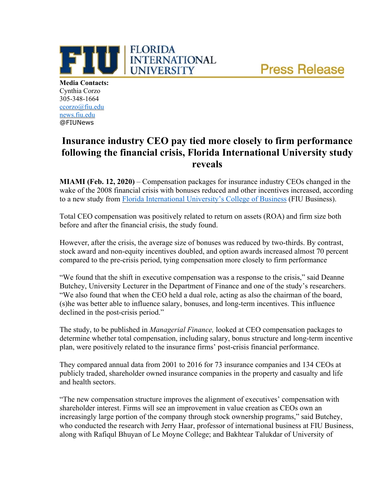**Press Release** 



**Media Contacts:** Cynthia Corzo 305-348-1664 [ccorzo@fiu.edu](mailto:ccorzo@fiu.edu) news.fiu.edu @FIUNews

## **Insurance industry CEO pay tied more closely to firm performance following the financial crisis, Florida International University study reveals**

**MIAMI (Feb. 12, 2020)** – Compensation packages for insurance industry CEOs changed in the wake of the 2008 financial crisis with bonuses reduced and other incentives increased, according to a new study from [Florida International University's College of Business](https://business.fiu.edu/index.cfm) (FIU Business).

Total CEO compensation was positively related to return on assets (ROA) and firm size both before and after the financial crisis, the study found.

However, after the crisis, the average size of bonuses was reduced by two-thirds. By contrast, stock award and non-equity incentives doubled, and option awards increased almost 70 percent compared to the pre-crisis period, tying compensation more closely to firm performance

"We found that the shift in executive compensation was a response to the crisis," said Deanne Butchey, University Lecturer in the Department of Finance and one of the study's researchers. "We also found that when the CEO held a dual role, acting as also the chairman of the board, (s)he was better able to influence salary, bonuses, and long-term incentives. This influence declined in the post-crisis period."

The study, to be published in *Managerial Finance,* looked at CEO compensation packages to determine whether total compensation, including salary, bonus structure and long-term incentive plan, were positively related to the insurance firms' post-crisis financial performance.

They compared annual data from 2001 to 2016 for 73 insurance companies and 134 CEOs at publicly traded, shareholder owned insurance companies in the property and casualty and life and health sectors.

"The new compensation structure improves the alignment of executives' compensation with shareholder interest. Firms will see an improvement in value creation as CEOs own an increasingly large portion of the company through stock ownership programs," said Butchey, who conducted the research with Jerry Haar, professor of international business at FIU Business, along with Rafiqul Bhuyan of Le Moyne College; and Bakhtear Talukdar of University of